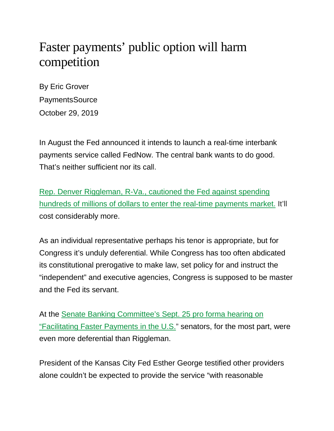## Faster payments' public option will harm competition

By Eric Grover PaymentsSource October 29, 2019

In August the Fed announced it intends to launch a real-time interbank payments service called FedNow. The central bank wants to do good. That's neither sufficient nor its call.

[Rep. Denver Riggleman, R-Va., cautioned the Fed against spending](https://www.americanbanker.com/opinion/fednow-payments-system-would-be-a-real-time-disaster)  [hundreds of millions of dollars to enter the real-time payments market.](https://www.americanbanker.com/opinion/fednow-payments-system-would-be-a-real-time-disaster) It'll cost considerably more.

As an individual representative perhaps his tenor is appropriate, but for Congress it's unduly deferential. While Congress has too often abdicated its constitutional prerogative to make law, set policy for and instruct the "independent" and executive agencies, Congress is supposed to be master and the Fed its servant.

At the [Senate Banking Committee's Sept. 25 pro forma hearing on](https://www.banking.senate.gov/hearings/facilitating-faster-payments-in-the-us)  ["Facilitating Faster Payments in the U.S."](https://www.banking.senate.gov/hearings/facilitating-faster-payments-in-the-us) senators, for the most part, were even more deferential than Riggleman.

President of the Kansas City Fed Esther George testified other providers alone couldn't be expected to provide the service "with reasonable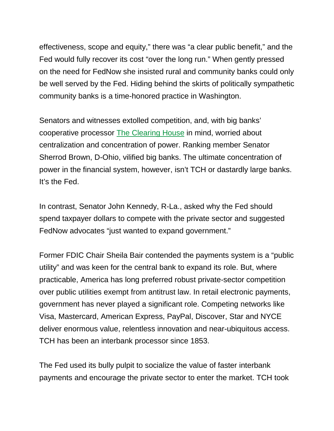effectiveness, scope and equity," there was "a clear public benefit," and the Fed would fully recover its cost "over the long run." When gently pressed on the need for FedNow she insisted rural and community banks could only be well served by the Fed. Hiding behind the skirts of politically sympathetic community banks is a time-honored practice in Washington.

Senators and witnesses extolled competition, and, with big banks' cooperative processor [The Clearing House](https://www.theclearinghouse.org/) in mind, worried about centralization and concentration of power. Ranking member Senator Sherrod Brown, D-Ohio, vilified big banks. The ultimate concentration of power in the financial system, however, isn't TCH or dastardly large banks. It's the Fed.

In contrast, Senator John Kennedy, R-La., asked why the Fed should spend taxpayer dollars to compete with the private sector and suggested FedNow advocates "just wanted to expand government."

Former FDIC Chair Sheila Bair contended the payments system is a "public utility" and was keen for the central bank to expand its role. But, where practicable, America has long preferred robust private-sector competition over public utilities exempt from antitrust law. In retail electronic payments, government has never played a significant role. Competing networks like Visa, Mastercard, American Express, PayPal, Discover, Star and NYCE deliver enormous value, relentless innovation and near-ubiquitous access. TCH has been an interbank processor since 1853.

The Fed used its bully pulpit to socialize the value of faster interbank payments and encourage the private sector to enter the market. TCH took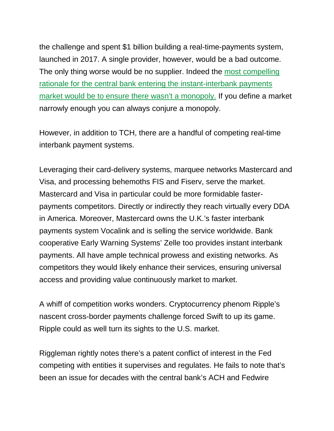the challenge and spent \$1 billion building a real-time-payments system, launched in 2017. A single provider, however, would be a bad outcome. The only thing worse would be no supplier. Indeed the most compelling [rationale for the central bank entering the instant-interbank payments](https://www.americanbanker.com/opinion/real-time-payments-needs-more-competition)  [market would be to ensure there wasn't a monopoly.](https://www.americanbanker.com/opinion/real-time-payments-needs-more-competition) If you define a market narrowly enough you can always conjure a monopoly.

However, in addition to TCH, there are a handful of competing real-time interbank payment systems.

Leveraging their card-delivery systems, marquee networks Mastercard and Visa, and processing behemoths FIS and Fiserv, serve the market. Mastercard and Visa in particular could be more formidable fasterpayments competitors. Directly or indirectly they reach virtually every DDA in America. Moreover, Mastercard owns the U.K.'s faster interbank payments system Vocalink and is selling the service worldwide. Bank cooperative Early Warning Systems' Zelle too provides instant interbank payments. All have ample technical prowess and existing networks. As competitors they would likely enhance their services, ensuring universal access and providing value continuously market to market.

A whiff of competition works wonders. Cryptocurrency phenom Ripple's nascent cross-border payments challenge forced Swift to up its game. Ripple could as well turn its sights to the U.S. market.

Riggleman rightly notes there's a patent conflict of interest in the Fed competing with entities it supervises and regulates. He fails to note that's been an issue for decades with the central bank's ACH and Fedwire